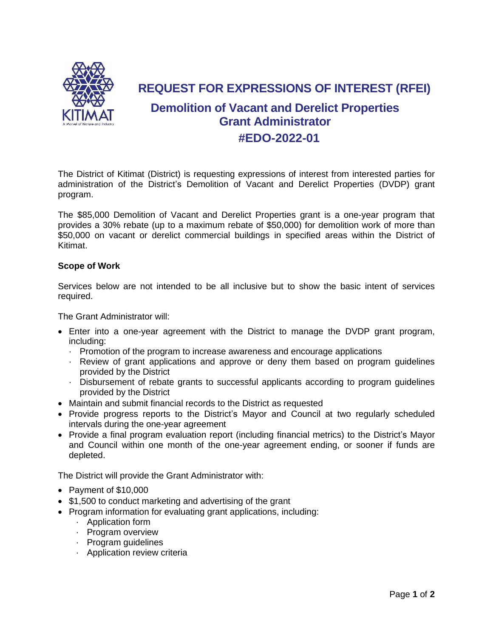

**REQUEST FOR EXPRESSIONS OF INTEREST (RFEI)**

## **Demolition of Vacant and Derelict Properties Grant Administrator #EDO-2022-01**

The District of Kitimat (District) is requesting expressions of interest from interested parties for administration of the District's Demolition of Vacant and Derelict Properties (DVDP) grant program.

The \$85,000 Demolition of Vacant and Derelict Properties grant is a one-year program that provides a 30% rebate (up to a maximum rebate of \$50,000) for demolition work of more than \$50,000 on vacant or derelict commercial buildings in specified areas within the District of Kitimat.

## **Scope of Work**

Services below are not intended to be all inclusive but to show the basic intent of services required.

The Grant Administrator will:

- Enter into a one-year agreement with the District to manage the DVDP grant program, including:
	- · Promotion of the program to increase awareness and encourage applications
	- · Review of grant applications and approve or deny them based on program guidelines provided by the District
	- · Disbursement of rebate grants to successful applicants according to program guidelines provided by the District
- Maintain and submit financial records to the District as requested
- Provide progress reports to the District's Mayor and Council at two regularly scheduled intervals during the one-year agreement
- Provide a final program evaluation report (including financial metrics) to the District's Mayor and Council within one month of the one-year agreement ending, or sooner if funds are depleted.

The District will provide the Grant Administrator with:

- Payment of \$10,000
- \$1,500 to conduct marketing and advertising of the grant
- Program information for evaluating grant applications, including:
	- · Application form
	- · Program overview
	- · Program guidelines
	- · Application review criteria